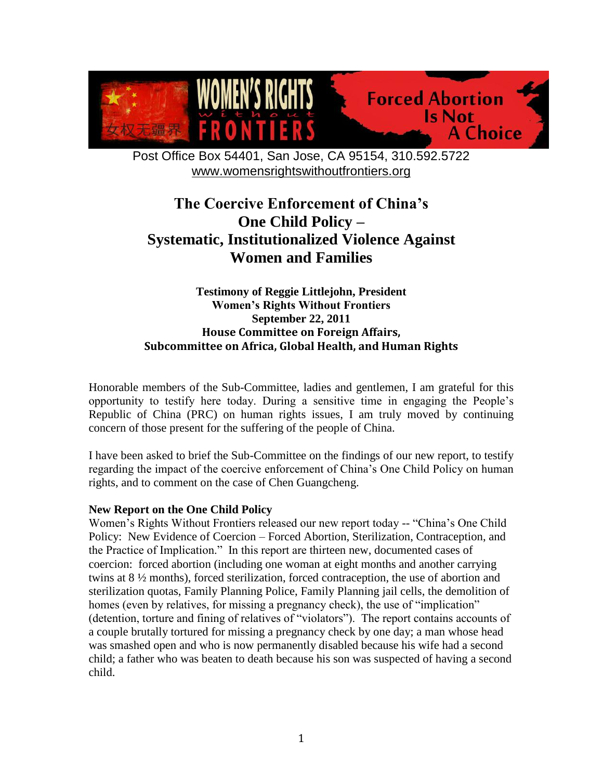

Post Office Box 54401, San Jose, CA 95154, 310.592.5722 [www.womensrightswithoutfrontiers.org](http://www.womensrightswithoutfrontiers.org/)

# **The Coercive Enforcement of China's One Child Policy – Systematic, Institutionalized Violence Against Women and Families**

## **Testimony of Reggie Littlejohn, President Women's Rights Without Frontiers September 22, 2011 House Committee on Foreign Affairs, Subcommittee on Africa, Global Health, and Human Rights**

Honorable members of the Sub-Committee, ladies and gentlemen, I am grateful for this opportunity to testify here today. During a sensitive time in engaging the People"s Republic of China (PRC) on human rights issues, I am truly moved by continuing concern of those present for the suffering of the people of China.

I have been asked to brief the Sub-Committee on the findings of our new report, to testify regarding the impact of the coercive enforcement of China"s One Child Policy on human rights, and to comment on the case of Chen Guangcheng.

## **New Report on the One Child Policy**

Women's Rights Without Frontiers released our new report today -- "China's One Child" Policy: New Evidence of Coercion – Forced Abortion, Sterilization, Contraception, and the Practice of Implication." In this report are thirteen new, documented cases of coercion: forced abortion (including one woman at eight months and another carrying twins at 8 ½ months), forced sterilization, forced contraception, the use of abortion and sterilization quotas, Family Planning Police, Family Planning jail cells, the demolition of homes (even by relatives, for missing a pregnancy check), the use of "implication" (detention, torture and fining of relatives of "violators"). The report contains accounts of a couple brutally tortured for missing a pregnancy check by one day; a man whose head was smashed open and who is now permanently disabled because his wife had a second child; a father who was beaten to death because his son was suspected of having a second child.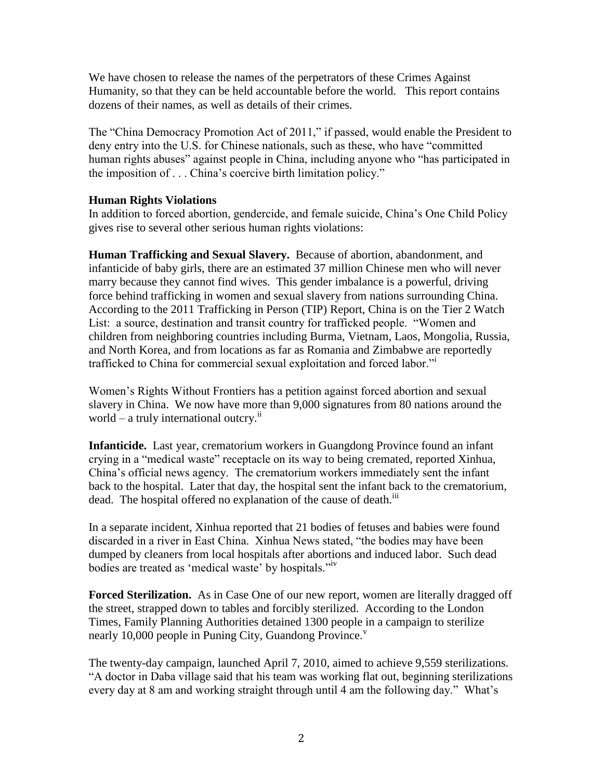We have chosen to release the names of the perpetrators of these Crimes Against Humanity, so that they can be held accountable before the world. This report contains dozens of their names, as well as details of their crimes.

The "China Democracy Promotion Act of 2011," if passed, would enable the President to deny entry into the U.S. for Chinese nationals, such as these, who have "committed human rights abuses" against people in China, including anyone who "has participated in the imposition of . . . China"s coercive birth limitation policy."

## **Human Rights Violations**

In addition to forced abortion, gendercide, and female suicide, China"s One Child Policy gives rise to several other serious human rights violations:

**Human Trafficking and Sexual Slavery.** Because of abortion, abandonment, and infanticide of baby girls, there are an estimated 37 million Chinese men who will never marry because they cannot find wives. This gender imbalance is a powerful, driving force behind trafficking in women and sexual slavery from nations surrounding China. According to the 2011 Trafficking in Person (TIP) Report, China is on the Tier 2 Watch List: a source, destination and transit country for trafficked people. "Women and children from neighboring countries including Burma, Vietnam, Laos, Mongolia, Russia, and North Korea, and from locations as far as Romania and Zimbabwe are reportedly trafficked to China for commercial sexual exploitation and forced labor."<sup>i</sup>

Women"s Rights Without Frontiers has a petition against forced abortion and sexual slavery in China. We now have more than 9,000 signatures from 80 nations around the world – a truly international outcry. $i$ 

**Infanticide.** Last year, crematorium workers in Guangdong Province found an infant crying in a "medical waste" receptacle on its way to being cremated, reported Xinhua, China"s official news agency. The crematorium workers immediately sent the infant back to the hospital. Later that day, the hospital sent the infant back to the crematorium, dead. The hospital offered no explanation of the cause of death.<sup>iii</sup>

In a separate incident, Xinhua reported that 21 bodies of fetuses and babies were found discarded in a river in East China. Xinhua News stated, "the bodies may have been dumped by cleaners from local hospitals after abortions and induced labor. Such dead bodies are treated as "medical waste" by hospitals."iv

**Forced Sterilization.** As in Case One of our new report, women are literally dragged off the street, strapped down to tables and forcibly sterilized. According to the London Times, Family Planning Authorities detained 1300 people in a campaign to sterilize nearly 10,000 people in Puning City, Guandong Province.<sup>v</sup>

The twenty-day campaign, launched April 7, 2010, aimed to achieve 9,559 sterilizations. "A doctor in Daba village said that his team was working flat out, beginning sterilizations every day at 8 am and working straight through until 4 am the following day." What's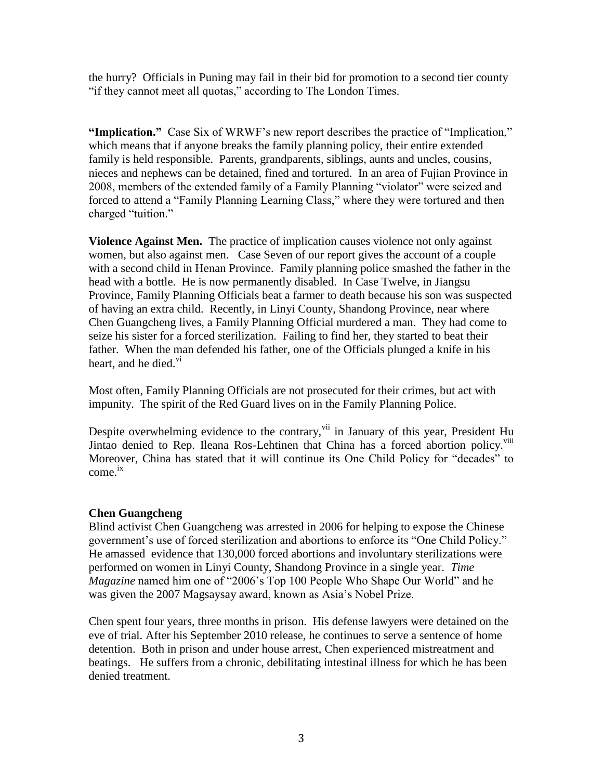the hurry? Officials in Puning may fail in their bid for promotion to a second tier county "if they cannot meet all quotas," according to The London Times.

**"Implication."** Case Six of WRWF"s new report describes the practice of "Implication," which means that if anyone breaks the family planning policy, their entire extended family is held responsible. Parents, grandparents, siblings, aunts and uncles, cousins, nieces and nephews can be detained, fined and tortured. In an area of Fujian Province in 2008, members of the extended family of a Family Planning "violator" were seized and forced to attend a "Family Planning Learning Class," where they were tortured and then charged "tuition."

**Violence Against Men.** The practice of implication causes violence not only against women, but also against men. Case Seven of our report gives the account of a couple with a second child in Henan Province. Family planning police smashed the father in the head with a bottle. He is now permanently disabled. In Case Twelve, in Jiangsu Province, Family Planning Officials beat a farmer to death because his son was suspected of having an extra child. Recently, in Linyi County, Shandong Province, near where Chen Guangcheng lives, a Family Planning Official murdered a man. They had come to seize his sister for a forced sterilization. Failing to find her, they started to beat their father. When the man defended his father, one of the Officials plunged a knife in his heart, and he died. $\overline{v}$ 

Most often, Family Planning Officials are not prosecuted for their crimes, but act with impunity. The spirit of the Red Guard lives on in the Family Planning Police.

Despite overwhelming evidence to the contrary, vii in January of this year, President Hu Jintao denied to Rep. Ileana Ros-Lehtinen that China has a forced abortion policy.<sup>viii</sup> Moreover, China has stated that it will continue its One Child Policy for "decades" to come. ix

## **Chen Guangcheng**

Blind activist Chen Guangcheng was arrested in 2006 for helping to expose the Chinese government"s use of forced sterilization and abortions to enforce its "One Child Policy." He amassed evidence that 130,000 forced abortions and involuntary sterilizations were performed on women in Linyi County, Shandong Province in a single year. *Time Magazine* named him one of "2006"s Top 100 People Who Shape Our World" and he was given the 2007 Magsaysay award, known as Asia"s Nobel Prize.

Chen spent four years, three months in prison. His defense lawyers were detained on the eve of trial. After his September 2010 release, he continues to serve a sentence of home detention. Both in prison and under house arrest, Chen experienced mistreatment and beatings. He suffers from a chronic, debilitating intestinal illness for which he has been denied treatment.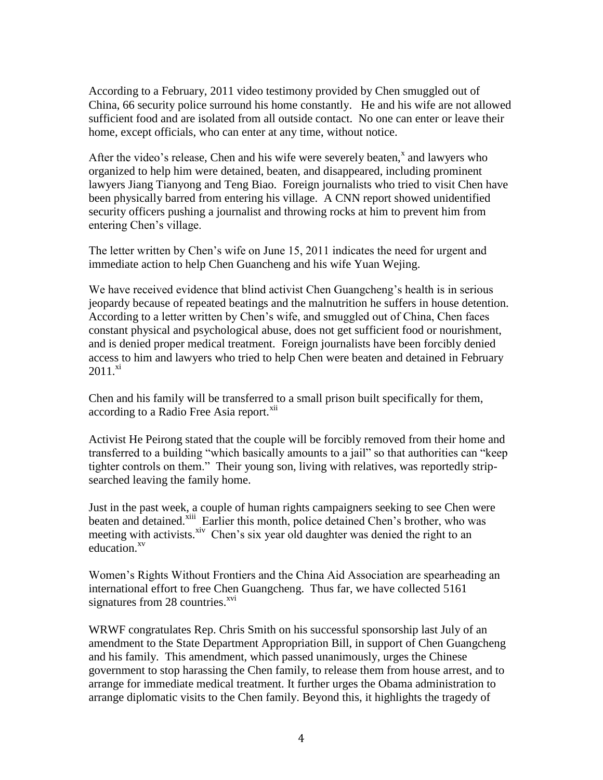According to a February, 2011 video testimony provided by Chen smuggled out of China, 66 security police surround his home constantly. He and his wife are not allowed sufficient food and are isolated from all outside contact. No one can enter or leave their home, except officials, who can enter at any time, without notice.

After the video's release, Chen and his wife were severely beaten, $^x$  and lawyers who organized to help him were detained, beaten, and disappeared, including prominent lawyers Jiang Tianyong and Teng Biao. Foreign journalists who tried to visit Chen have been physically barred from entering his village. A CNN report showed unidentified security officers pushing a journalist and throwing rocks at him to prevent him from entering Chen"s village.

The letter written by Chen"s wife on June 15, 2011 indicates the need for urgent and immediate action to help Chen Guancheng and his wife Yuan Wejing.

We have received evidence that blind activist Chen Guangcheng's health is in serious jeopardy because of repeated beatings and the malnutrition he suffers in house detention. According to a letter written by Chen"s wife, and smuggled out of China, Chen faces constant physical and psychological abuse, does not get sufficient food or nourishment, and is denied proper medical treatment. Foreign journalists have been forcibly denied access to him and lawyers who tried to help Chen were beaten and detained in February  $2011.^{\text{xi}}$ 

Chen and his family will be transferred to a small prison built specifically for them, according to a Radio Free Asia report.<sup>xii</sup>

Activist He Peirong stated that the couple will be forcibly removed from their home and transferred to a building "which basically amounts to a jail" so that authorities can "keep tighter controls on them." Their young son, living with relatives, was reportedly stripsearched leaving the family home.

Just in the past week, a couple of human rights campaigners seeking to see Chen were beaten and detained.<sup>xiii</sup> Earlier this month, police detained Chen's brother, who was meeting with activists.<sup>xiv</sup> Chen's six year old daughter was denied the right to an education.<sup>xv</sup>

Women"s Rights Without Frontiers and the China Aid Association are spearheading an international effort to free Chen Guangcheng. Thus far, we have collected 5161 signatures from  $28$  countries.<sup> $xvi$ </sup>

WRWF congratulates Rep. Chris Smith on his successful sponsorship last July of an amendment to the State Department Appropriation Bill, in support of Chen Guangcheng and his family. This amendment, which passed unanimously, urges the Chinese government to stop harassing the Chen family, to release them from house arrest, and to arrange for immediate medical treatment. It further urges the Obama administration to arrange diplomatic visits to the Chen family. Beyond this, it highlights the tragedy of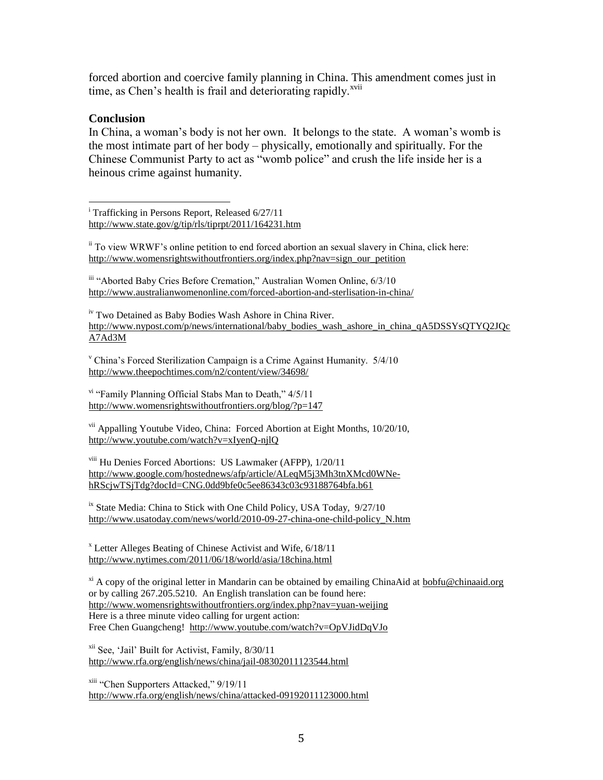forced abortion and coercive family planning in China. This amendment comes just in time, as Chen's health is frail and deteriorating rapidly. $^{xvii}$ 

## **Conclusion**

In China, a woman's body is not her own. It belongs to the state. A woman's womb is the most intimate part of her body – physically, emotionally and spiritually. For the Chinese Communist Party to act as "womb police" and crush the life inside her is a heinous crime against humanity.

 $\overline{a}$ <sup>i</sup> Trafficking in Persons Report, Released 6/27/11 <http://www.state.gov/g/tip/rls/tiprpt/2011/164231.htm>

 $\frac{1}{10}$  To view WRWF's online petition to end forced abortion an sexual slavery in China, click here: [http://www.womensrightswithoutfrontiers.org/index.php?nav=sign\\_our\\_petition](http://www.womensrightswithoutfrontiers.org/index.php?nav=sign_our_petition)

iii "Aborted Baby Cries Before Cremation," Australian Women Online, 6/3/10 <http://www.australianwomenonline.com/forced-abortion-and-sterlisation-in-china/>

iv Two Detained as Baby Bodies Wash Ashore in China River. [http://www.nypost.com/p/news/international/baby\\_bodies\\_wash\\_ashore\\_in\\_china\\_qA5DSSYsQTYQ2JQc](http://www.nypost.com/p/news/international/baby_bodies_wash_ashore_in_china_qA5DSSYsQTYQ2JQcA7Ad3M) [A7Ad3M](http://www.nypost.com/p/news/international/baby_bodies_wash_ashore_in_china_qA5DSSYsQTYQ2JQcA7Ad3M)

<sup>v</sup> China"s Forced Sterilization Campaign is a Crime Against Humanity. 5/4/10 <http://www.theepochtimes.com/n2/content/view/34698/>

vi "Family Planning Official Stabs Man to Death," 4/5/11 <http://www.womensrightswithoutfrontiers.org/blog/?p=147>

vii Appalling Youtube Video, China: Forced Abortion at Eight Months, 10/20/10, <http://www.youtube.com/watch?v=xIyenQ-njlQ>

viii Hu Denies Forced Abortions: US Lawmaker (AFPP), 1/20/11 [http://www.google.com/hostednews/afp/article/ALeqM5j3Mh3tnXMcd0WNe](http://www.google.com/hostednews/afp/article/ALeqM5j3Mh3tnXMcd0WNe-hRScjwTSjTdg?docId=CNG.0dd9bfe0c5ee86343c03c93188764bfa.b61)[hRScjwTSjTdg?docId=CNG.0dd9bfe0c5ee86343c03c93188764bfa.b61](http://www.google.com/hostednews/afp/article/ALeqM5j3Mh3tnXMcd0WNe-hRScjwTSjTdg?docId=CNG.0dd9bfe0c5ee86343c03c93188764bfa.b61)

 $\frac{1}{10}$  State Media: China to Stick with One Child Policy, USA Today, 9/27/10 [http://www.usatoday.com/news/world/2010-09-27-china-one-child-policy\\_N.htm](http://www.usatoday.com/news/world/2010-09-27-china-one-child-policy_N.htm)

<sup>x</sup> Letter Alleges Beating of Chinese Activist and Wife, 6/18/11 <http://www.nytimes.com/2011/06/18/world/asia/18china.html>

 $\chi$ <sup>xi</sup> A copy of the original letter in Mandarin can be obtained by emailing ChinaAid at [bobfu@chinaaid.org](mailto:bobfu@chinaaid.org) or by calling 267.205.5210. An English translation can be found here: <http://www.womensrightswithoutfrontiers.org/index.php?nav=yuan-weijing> Here is a three minute video calling for urgent action: Free Chen Guangcheng!<http://www.youtube.com/watch?v=OpVJidDqVJo>

xii See, "Jail" Built for Activist, Family, 8/30/11 <http://www.rfa.org/english/news/china/jail-08302011123544.html>

xiii "Chen Supporters Attacked," 9/19/11 <http://www.rfa.org/english/news/china/attacked-09192011123000.html>